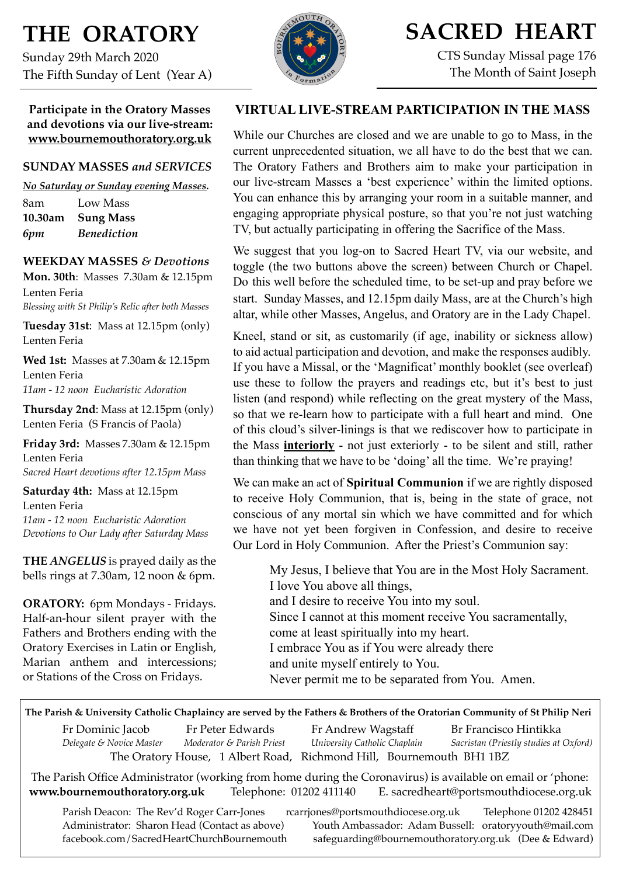# **THE ORATORY**

Sunday 29th March 2020 The Fifth Sunday of Lent (Year A)

**Participate in the Oratory Masses and devotions via our live-stream: www.bournemouthoratory.org.uk**

#### **SUNDAY MASSES** *and SERVICES*

*No Saturday or Sunday evening Masses.* 8am Low Mass **10.30am Sung Mass** *6pm Benediction*

#### **WEEKDAY MASSES** *& Devotions*

**Mon. 30th**: Masses 7.30am & 12.15pm Lenten Feria *Blessing with St Philip's Relic after both Masses*

**Tuesday 31st**: Mass at 12.15pm (only) Lenten Feria

**Wed 1st:** Masses at 7.30am & 12.15pm Lenten Feria *11am - 12 noon Eucharistic Adoration*

**Thursday 2nd**: Mass at 12.15pm (only) Lenten Feria (S Francis of Paola)

**Friday 3rd:** Masses 7.30am & 12.15pm Lenten Feria *Sacred Heart devotions after 12.15pm Mass*

**Saturday 4th:** Mass at 12.15pm Lenten Feria *11am - 12 noon Eucharistic Adoration*

*Devotions to Our Lady after Saturday Mass* **THE** *ANGELUS* is prayed daily as the

bells rings at 7.30am, 12 noon & 6pm.

**ORATORY:** 6pm Mondays - Fridays. Half-an-hour silent prayer with the Fathers and Brothers ending with the Oratory Exercises in Latin or English, Marian anthem and intercessions; or Stations of the Cross on Fridays.



# **SACRED HEART**

CTS Sunday Missal page 176 The Month of Saint Joseph

### **VIRTUAL LIVE-STREAM PARTICIPATION IN THE MASS**

While our Churches are closed and we are unable to go to Mass, in the current unprecedented situation, we all have to do the best that we can. The Oratory Fathers and Brothers aim to make your participation in our live-stream Masses a 'best experience' within the limited options. You can enhance this by arranging your room in a suitable manner, and engaging appropriate physical posture, so that you're not just watching TV, but actually participating in offering the Sacrifice of the Mass.

We suggest that you log-on to Sacred Heart TV, via our website, and toggle (the two buttons above the screen) between Church or Chapel. Do this well before the scheduled time, to be set-up and pray before we start. Sunday Masses, and 12.15pm daily Mass, are at the Church's high altar, while other Masses, Angelus, and Oratory are in the Lady Chapel.

Kneel, stand or sit, as customarily (if age, inability or sickness allow) to aid actual participation and devotion, and make the responses audibly. If you have a Missal, or the 'Magnificat' monthly booklet (see overleaf) use these to follow the prayers and readings etc, but it's best to just listen (and respond) while reflecting on the great mystery of the Mass, so that we re-learn how to participate with a full heart and mind. One of this cloud's silver-linings is that we rediscover how to participate in the Mass **interiorly** - not just exteriorly - to be silent and still, rather than thinking that we have to be 'doing' all the time. We're praying!

We can make an act of **Spiritual Communion** if we are rightly disposed to receive Holy Communion, that is, being in the state of grace, not conscious of any mortal sin which we have committed and for which we have not yet been forgiven in Confession, and desire to receive Our Lord in Holy Communion. After the Priest's Communion say:

 My Jesus, I believe that You are in the Most Holy Sacrament. I love You above all things, and I desire to receive You into my soul. Since I cannot at this moment receive You sacramentally, come at least spiritually into my heart. I embrace You as if You were already there

and unite myself entirely to You.

Never permit me to be separated from You. Amen.

**The Parish & University Catholic Chaplaincy are served by the Fathers & Brothers of the Oratorian Community of St Philip Neri**

Fr Dominic Jacob Fr Peter Edwards Fr Andrew Wagstaff Br Francisco Hintikka *Delegate & Novice Master Moderator & Parish Priest University Catholic Chaplain Sacristan (Priestly studies at Oxford)* The Oratory House, 1 Albert Road, Richmond Hill, Bournemouth BH1 1BZ

The Parish Office Administrator (working from home during the Coronavirus) is available on email or 'phone: **[www.bournemouthoratory.org.uk](http://www.bournemoithoratory.org.uk)** Telephone: 01202 411140 E. [sacredheart@portsmouthdiocese.org.uk](mailto:sacredheart@portsmouthdiocese.org.uk)

Parish Deacon: The Rev'd Roger Carr-Jones [rcarrjones@portsmouthdiocese.org.uk](mailto:rcarrjones@portsmouthdiocese.org.uk) Telephone 01202 428451<br>Administrator: Sharon Head (Contact as above) Youth Ambassador: Adam Bussell: oratorvvouth@mail.com Youth Ambassador: Adam Bussell: [oratoryyouth@mail.com](http://oratoryyouth.mail.com) [facebook.com/SacredHeartChurchBournemouth](http://facebook.com/SaccredHeartChurchBournemouth) [safeguarding@bournemouthoratory.org.uk](mailto:safeguarding@bournemouthoratory.org.uk) (Dee & Edward)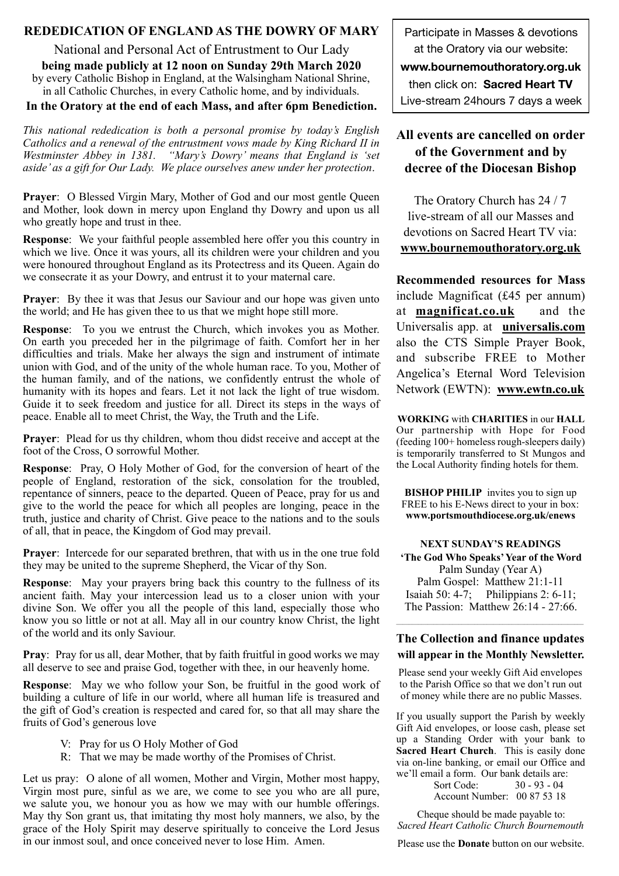#### **REDEDICATION OF ENGLAND AS THE DOWRY OF MARY**

National and Personal Act of Entrustment to Our Lady **being made publicly at 12 noon on Sunday 29th March 2020**  by every Catholic Bishop in England, at the Walsingham National Shrine, in all Catholic Churches, in every Catholic home, and by individuals.

**In the Oratory at the end of each Mass, and after 6pm Benediction.** 

*This national rededication is both a personal promise by today's English Catholics and a renewal of the entrustment vows made by King Richard II in Westminster Abbey in 1381. "Mary's Dowry' means that England is 'set aside' as a gift for Our Lady. We place ourselves anew under her protection*.

**Prayer**: O Blessed Virgin Mary, Mother of God and our most gentle Queen and Mother, look down in mercy upon England thy Dowry and upon us all who greatly hope and trust in thee.

**Response**: We your faithful people assembled here offer you this country in which we live. Once it was yours, all its children were your children and you were honoured throughout England as its Protectress and its Queen. Again do we consecrate it as your Dowry, and entrust it to your maternal care.

**Prayer**: By thee it was that Jesus our Saviour and our hope was given unto the world; and He has given thee to us that we might hope still more.

**Response**: To you we entrust the Church, which invokes you as Mother. On earth you preceded her in the pilgrimage of faith. Comfort her in her difficulties and trials. Make her always the sign and instrument of intimate union with God, and of the unity of the whole human race. To you, Mother of the human family, and of the nations, we confidently entrust the whole of humanity with its hopes and fears. Let it not lack the light of true wisdom. Guide it to seek freedom and justice for all. Direct its steps in the ways of peace. Enable all to meet Christ, the Way, the Truth and the Life.

**Prayer:** Plead for us thy children, whom thou didst receive and accept at the foot of the Cross, O sorrowful Mother.

**Response**: Pray, O Holy Mother of God, for the conversion of heart of the people of England, restoration of the sick, consolation for the troubled, repentance of sinners, peace to the departed. Queen of Peace, pray for us and give to the world the peace for which all peoples are longing, peace in the truth, justice and charity of Christ. Give peace to the nations and to the souls of all, that in peace, the Kingdom of God may prevail.

**Prayer**: Intercede for our separated brethren, that with us in the one true fold they may be united to the supreme Shepherd, the Vicar of thy Son.

**Response**: May your prayers bring back this country to the fullness of its ancient faith. May your intercession lead us to a closer union with your divine Son. We offer you all the people of this land, especially those who know you so little or not at all. May all in our country know Christ, the light of the world and its only Saviour.

**Pray**: Pray for us all, dear Mother, that by faith fruitful in good works we may all deserve to see and praise God, together with thee, in our heavenly home.

**Response**: May we who follow your Son, be fruitful in the good work of building a culture of life in our world, where all human life is treasured and the gift of God's creation is respected and cared for, so that all may share the fruits of God's generous love

- V: Pray for us O Holy Mother of God
- R: That we may be made worthy of the Promises of Christ.

Let us pray: O alone of all women, Mother and Virgin, Mother most happy, Virgin most pure, sinful as we are, we come to see you who are all pure, we salute you, we honour you as how we may with our humble offerings. May thy Son grant us, that imitating thy most holy manners, we also, by the grace of the Holy Spirit may deserve spiritually to conceive the Lord Jesus in our inmost soul, and once conceived never to lose Him. Amen.

Participate in Masses & devotions at the Oratory via our website:

**[www.bournemouthoratory.org.uk](http://www.bournemouthoratory.org.uk)** 

then click on: **Sacred Heart TV** 

Live-stream 24hours 7 days a week

## **All events are cancelled on order of the Government and by decree of the Diocesan Bishop**

The Oratory Church has 24 / 7 live-stream of all our Masses and devotions on Sacred Heart TV via: **[www.bournemouthoratory.org.uk](http://www.bournemouthoratory.org.uk)**

**Recommended resources for Mass** include Magnificat (£45 per annum) at **[magnificat.co.uk](http://magnificat.co.uk)** and the Universalis app. at **[universalis.com](http://universalis.com)** also the CTS Simple Prayer Book, and subscribe FREE to Mother Angelica's Eternal Word Television Network (EWTN): **www.ewtn.co.uk**

**WORKING** with **CHARITIES** in our **HALL**  Our partnership with Hope for Food (feeding 100+ homeless rough-sleepers daily) is temporarily transferred to St Mungos and the Local Authority finding hotels for them.

**BISHOP PHILIP** invites you to sign up FREE to his E-News direct to your in box: **www.[portsmouthdiocese.org.uk/enews](http://www.portsmouthdiocese.org.uk/enews)** 

**NEXT SUNDAY'S READINGS 'The God Who Speaks' Year of the Word**  Palm Sunday (Year A) Palm Gospel: Matthew 21:1-11 Isaiah 50: 4-7; Philippians 2: 6-11; The Passion: Matthew 26:14 - 27:66.

#### **The Collection and finance updates will appear in the Monthly Newsletter.**

Please send your weekly Gift Aid envelopes to the Parish Office so that we don't run out of money while there are no public Masses.

If you usually support the Parish by weekly Gift Aid envelopes, or loose cash, please set up a Standing Order with your bank to **Sacred Heart Church**. This is easily done via on-line banking, or email our Office and we'll email a form. Our bank details are:

> Sort Code: 30 - 93 - 04 Account Number: 00 87 53 18

Cheque should be made payable to: *Sacred Heart Catholic Church Bournemouth*

Please use the **Donate** button on our website.